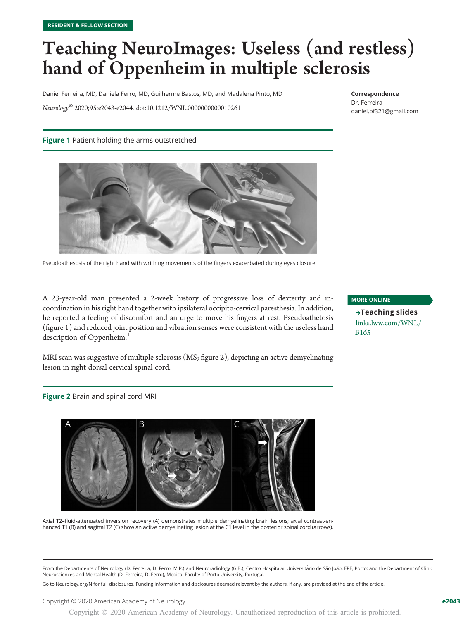## Teaching NeuroImages: Useless (and restless) hand of Oppenheim in multiple sclerosis

Daniel Ferreira, MD, Daniela Ferro, MD, Guilherme Bastos, MD, and Madalena Pinto, MD

Neurology® 2020;95:e2043-e2044. doi[:10.1212/WNL.0000000000010261](http://dx.doi.org/10.1212/WNL.0000000000010261)

#### Correspondence

Dr. Ferreira [daniel.of321@gmail.com](mailto:daniel.of321@gmail.com)

#### Figure 1 Patient holding the arms outstretched



Pseudoathesosis of the right hand with writhing movements of the fingers exacerbated during eyes closure.

A 23-year-old man presented a 2-week history of progressive loss of dexterity and incoordination in his right hand together with ipsilateral occipito-cervical paresthesia. In addition, he reported a feeling of discomfort and an urge to move his fingers at rest. Pseudoathetosis (figure 1) and reduced joint position and vibration senses were consistent with the useless hand description of Oppenheim.<sup>1</sup>

MRI scan was suggestive of multiple sclerosis (MS; figure 2), depicting an active demyelinating lesion in right dorsal cervical spinal cord.

Figure 2 Brain and spinal cord MRI



Axial T2–fluid-attenuated inversion recovery (A) demonstrates multiple demyelinating brain lesions; axial contrast-enhanced T1 (B) and sagittal T2 (C) show an active demyelinating lesion at the C1 level in the posterior spinal cord (arrows).

#### MORE ONLINE

 $\rightarrow$ Teaching slides [links.lww.com/WNL/](http://links.lww.com/WNL/B165) [B165](http://links.lww.com/WNL/B165)

From the Departments of Neurology (D. Ferreira, D. Ferro, M.P.) and Neuroradiology (G.B.), Centro Hospitalar Universitário de São João, EPE, Porto; and the Department of Clinic Neurosciences and Mental Health (D. Ferreira, D. Ferro), Medical Faculty of Porto University, Portugal.

Go to [Neurology.org/N](https://n.neurology.org/lookup/doi/10.1212/WNL.0000000000010261) for full disclosures. Funding information and disclosures deemed relevant by the authors, if any, are provided at the end of the article.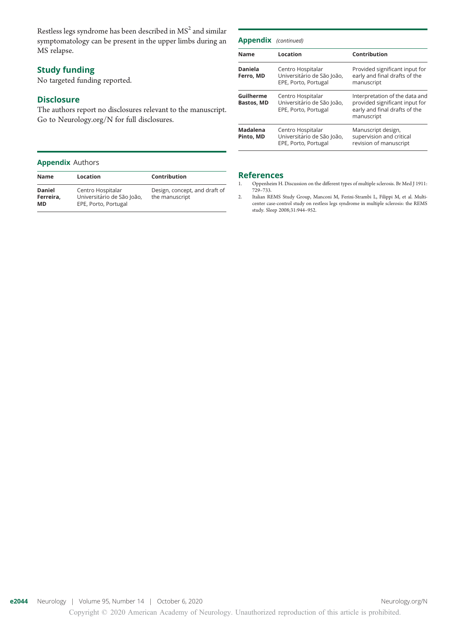Restless legs syndrome has been described in  $MS<sup>2</sup>$  and similar symptomatology can be present in the upper limbs during an MS relapse.

#### Study funding

No targeted funding reported.

#### **Disclosure**

The authors report no disclosures relevant to the manuscript. Go to [Neurology.org/N](https://n.neurology.org/lookup/doi/10.1212/WNL.0000000000010261) for full disclosures.

#### Appendix Authors

| <b>Name</b>                             | Location                                                                | Contribution                                    |
|-----------------------------------------|-------------------------------------------------------------------------|-------------------------------------------------|
| <b>Daniel</b><br>Ferreira,<br><b>MD</b> | Centro Hospitalar<br>Universitário de São João,<br>EPE, Porto, Portugal | Design, concept, and draft of<br>the manuscript |

| <b>Appendix</b> (continued)    |                                                                         |                                                                                                                 |  |
|--------------------------------|-------------------------------------------------------------------------|-----------------------------------------------------------------------------------------------------------------|--|
| Name                           | Location                                                                | Contribution                                                                                                    |  |
| Daniela<br>Ferro, MD           | Centro Hospitalar<br>Universitário de São João,<br>EPE, Porto, Portugal | Provided significant input for<br>early and final drafts of the<br>manuscript                                   |  |
| Guilherme<br><b>Bastos, MD</b> | Centro Hospitalar<br>Universitário de São João,<br>EPE, Porto, Portugal | Interpretation of the data and<br>provided significant input for<br>early and final drafts of the<br>manuscript |  |
| Madalena<br>Pinto, MD          | Centro Hospitalar<br>Universitário de São João,<br>EPE, Porto, Portugal | Manuscript design,<br>supervision and critical<br>revision of manuscript                                        |  |

### References<br>1. Oppenheim H.

- 1. Oppenheim H. Discussion on the different types of multiple sclerosis. Br Med J 1911: 729–733.
- 2. Italian REMS Study Group, Manconi M, Ferini-Strambi L, Filippi M, et al. Multicenter case-control study on restless legs syndrome in multiple sclerosis: the REMS study. Sleep 2008;31:944–952.